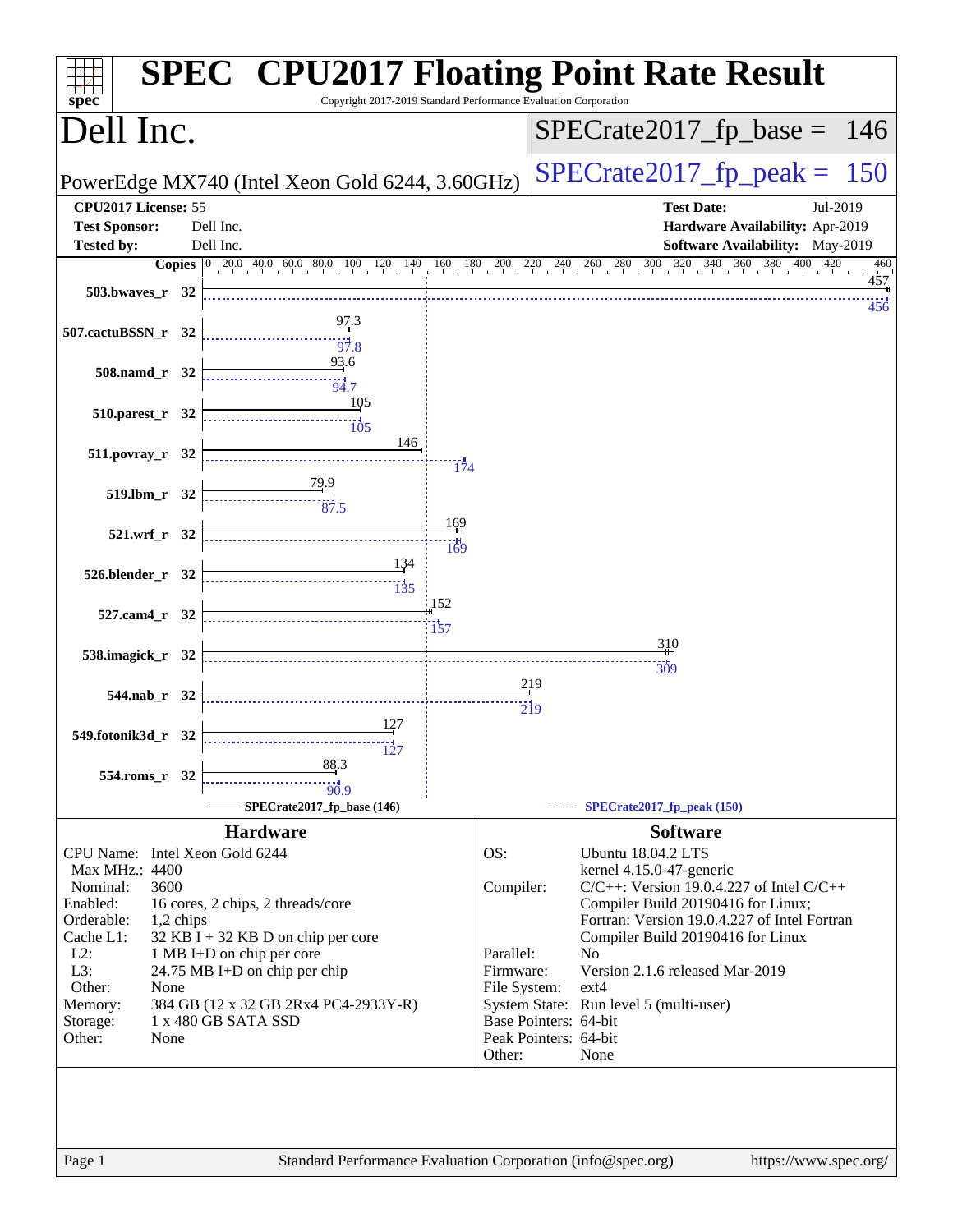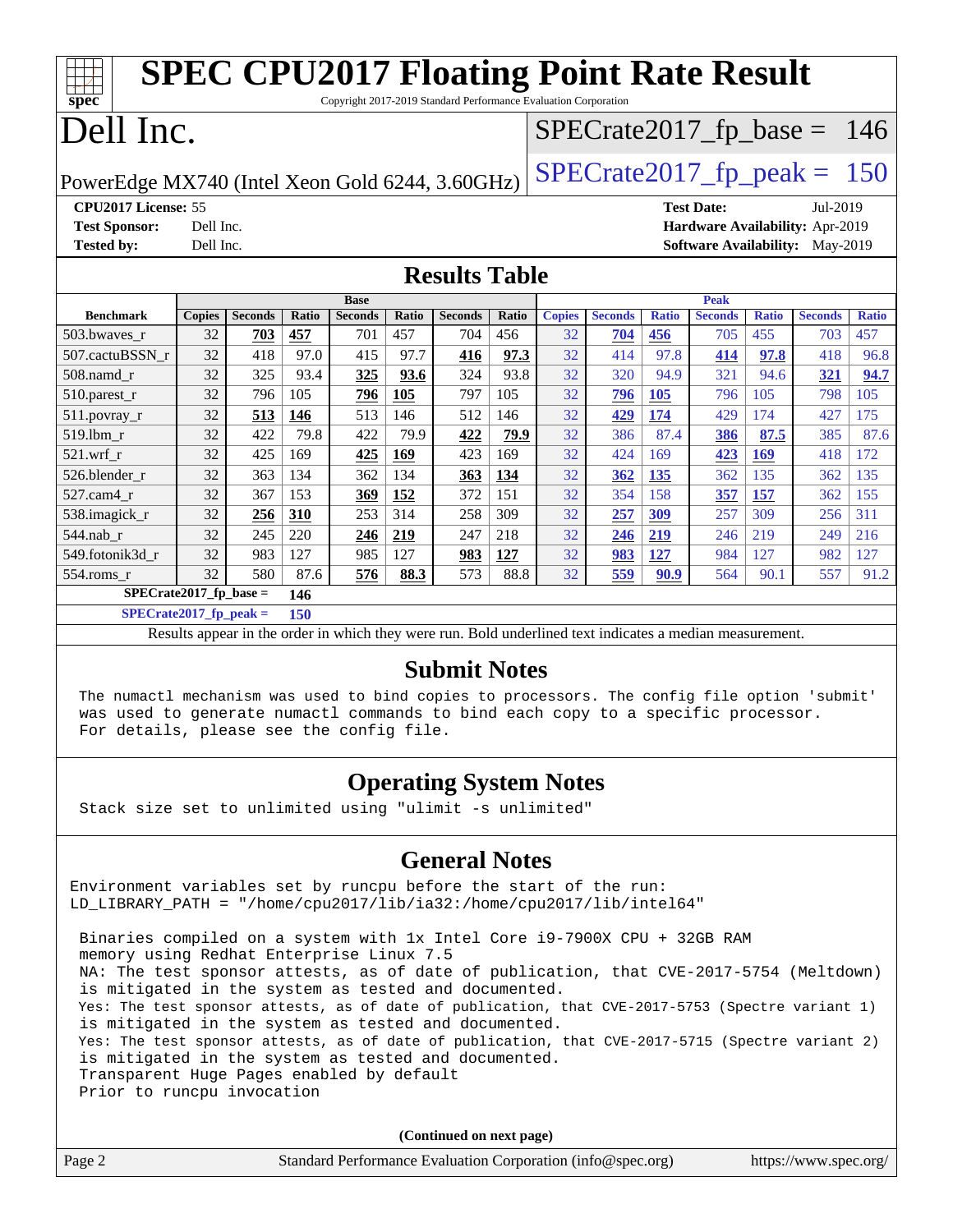| <b>SPEC CPU2017 Floating Point Rate Result</b>                                       |                                                      |                |              |                |              |                |       |               |                |              |                                        |              |                |              |
|--------------------------------------------------------------------------------------|------------------------------------------------------|----------------|--------------|----------------|--------------|----------------|-------|---------------|----------------|--------------|----------------------------------------|--------------|----------------|--------------|
| Copyright 2017-2019 Standard Performance Evaluation Corporation<br>spec <sup>®</sup> |                                                      |                |              |                |              |                |       |               |                |              |                                        |              |                |              |
| Dell Inc.<br>$SPECTate2017_fp\_base = 146$                                           |                                                      |                |              |                |              |                |       |               |                |              |                                        |              |                |              |
| $SPECTate2017$ _fp_peak = 150<br>PowerEdge MX740 (Intel Xeon Gold 6244, 3.60GHz)     |                                                      |                |              |                |              |                |       |               |                |              |                                        |              |                |              |
|                                                                                      | CPU2017 License: 55<br><b>Test Date:</b><br>Jul-2019 |                |              |                |              |                |       |               |                |              |                                        |              |                |              |
| <b>Test Sponsor:</b>                                                                 | Dell Inc.                                            |                |              |                |              |                |       |               |                |              | Hardware Availability: Apr-2019        |              |                |              |
| <b>Tested by:</b>                                                                    | Dell Inc.                                            |                |              |                |              |                |       |               |                |              | <b>Software Availability:</b> May-2019 |              |                |              |
| <b>Results Table</b>                                                                 |                                                      |                |              |                |              |                |       |               |                |              |                                        |              |                |              |
|                                                                                      |                                                      |                |              | <b>Base</b>    |              |                |       |               |                |              | <b>Peak</b>                            |              |                |              |
| <b>Benchmark</b>                                                                     | <b>Copies</b>                                        | <b>Seconds</b> | <b>Ratio</b> | <b>Seconds</b> | <b>Ratio</b> | <b>Seconds</b> | Ratio | <b>Copies</b> | <b>Seconds</b> | <b>Ratio</b> | <b>Seconds</b>                         | <b>Ratio</b> | <b>Seconds</b> | <b>Ratio</b> |
| 503.bwaves r                                                                         | 32                                                   | 703            | 457          | 701            | 457          | 704            | 456   | 32            | 704            | 456          | 705                                    | 455          | 703            | 457          |
| 507.cactuBSSN r                                                                      | 32                                                   | 418            | 97.0         | 415            | 97.7         | 416            | 97.3  | 32            | 414            | 97.8         | 414                                    | 97.8         | 418            | 96.8         |
| 508.namd_r                                                                           | 32                                                   | 325            | 93.4         | 325            | 93.6         | 324            | 93.8  | 32            | 320            | 94.9         | 321                                    | 94.6         | 321            | 94.7         |
| $510.parest_r$                                                                       | 32                                                   | 796            | 105          | 796            | 105          | 797            | 105   | 32            | 796            | 105          | 796                                    | 105          | 798            | 105          |
| 511.povray_r                                                                         | 32                                                   | 513            | 146          | 513            | 146          | 512            | 146   | 32            | 429            | 174          | 429                                    | 174          | 427            | 175          |
| 519.lbm r                                                                            | 32                                                   | 422            | 79.8         | 422            | 79.9         | 422            | 79.9  | 32            | 386            | 87.4         | 386                                    | 87.5         | 385            | 87.6         |
| $521.wrf_r$                                                                          | 32                                                   | 425            | 169          | 425            | 169          | 423            | 169   | 32            | 424            | 169          | 423                                    | 169          | 418            | 172          |
| 526.blender r                                                                        | 32                                                   | 363            | 134          | 362            | 134          | 363            | 134   | 32            | 362            | 135          | 362                                    | 135          | 362            | 135          |
| 527.cam4_r                                                                           | 32                                                   | 367            | 153          | 369            | 152          | 372            | 151   | 32            | 354            | 158          | 357                                    | 157          | 362            | 155          |
| 538.imagick r                                                                        | 32                                                   | 256            | 310          | 253            | 314          | 258            | 309   | 32            | 257            | 309          | 257                                    | 309          | 256            | 311          |
| 544.nab r                                                                            | 32                                                   | 245            | 220          | 246            | 219          | 247            | 218   | 32            | 246            | 219          | 246                                    | 219          | 249            | 216          |
| 549.fotonik3d r                                                                      | 32                                                   | 983            | 127          | 985            | 127          | 983            | 127   | 32            | 983            | 127          | 984                                    | 127          | 982            | 127          |
| $554$ .roms_r                                                                        | 32                                                   | 580            | 87.6         | 576            | 88.3         | 573            | 88.8  | 32            | 559            | 90.9         | 564                                    | 90.1         | 557            | 91.2         |
| $SPECrate2017$ fp base =<br>146                                                      |                                                      |                |              |                |              |                |       |               |                |              |                                        |              |                |              |

**[SPECrate2017\\_fp\\_peak =](http://www.spec.org/auto/cpu2017/Docs/result-fields.html#SPECrate2017fppeak) 150**

Results appear in the [order in which they were run.](http://www.spec.org/auto/cpu2017/Docs/result-fields.html#RunOrder) Bold underlined text [indicates a median measurement.](http://www.spec.org/auto/cpu2017/Docs/result-fields.html#Median)

#### **[Submit Notes](http://www.spec.org/auto/cpu2017/Docs/result-fields.html#SubmitNotes)**

 The numactl mechanism was used to bind copies to processors. The config file option 'submit' was used to generate numactl commands to bind each copy to a specific processor. For details, please see the config file.

## **[Operating System Notes](http://www.spec.org/auto/cpu2017/Docs/result-fields.html#OperatingSystemNotes)**

Stack size set to unlimited using "ulimit -s unlimited"

## **[General Notes](http://www.spec.org/auto/cpu2017/Docs/result-fields.html#GeneralNotes)**

Environment variables set by runcpu before the start of the run: LD\_LIBRARY\_PATH = "/home/cpu2017/lib/ia32:/home/cpu2017/lib/intel64"

 Binaries compiled on a system with 1x Intel Core i9-7900X CPU + 32GB RAM memory using Redhat Enterprise Linux 7.5 NA: The test sponsor attests, as of date of publication, that CVE-2017-5754 (Meltdown) is mitigated in the system as tested and documented. Yes: The test sponsor attests, as of date of publication, that CVE-2017-5753 (Spectre variant 1) is mitigated in the system as tested and documented. Yes: The test sponsor attests, as of date of publication, that CVE-2017-5715 (Spectre variant 2) is mitigated in the system as tested and documented. Transparent Huge Pages enabled by default

|                            | Transparent Huge Pages enabled by default                   |                       |  |  |  |  |
|----------------------------|-------------------------------------------------------------|-----------------------|--|--|--|--|
| Prior to runcpu invocation |                                                             |                       |  |  |  |  |
|                            |                                                             |                       |  |  |  |  |
|                            |                                                             |                       |  |  |  |  |
| (Continued on next page)   |                                                             |                       |  |  |  |  |
| Page 2                     | Standard Performance Evaluation Corporation (info@spec.org) | https://www.spec.org/ |  |  |  |  |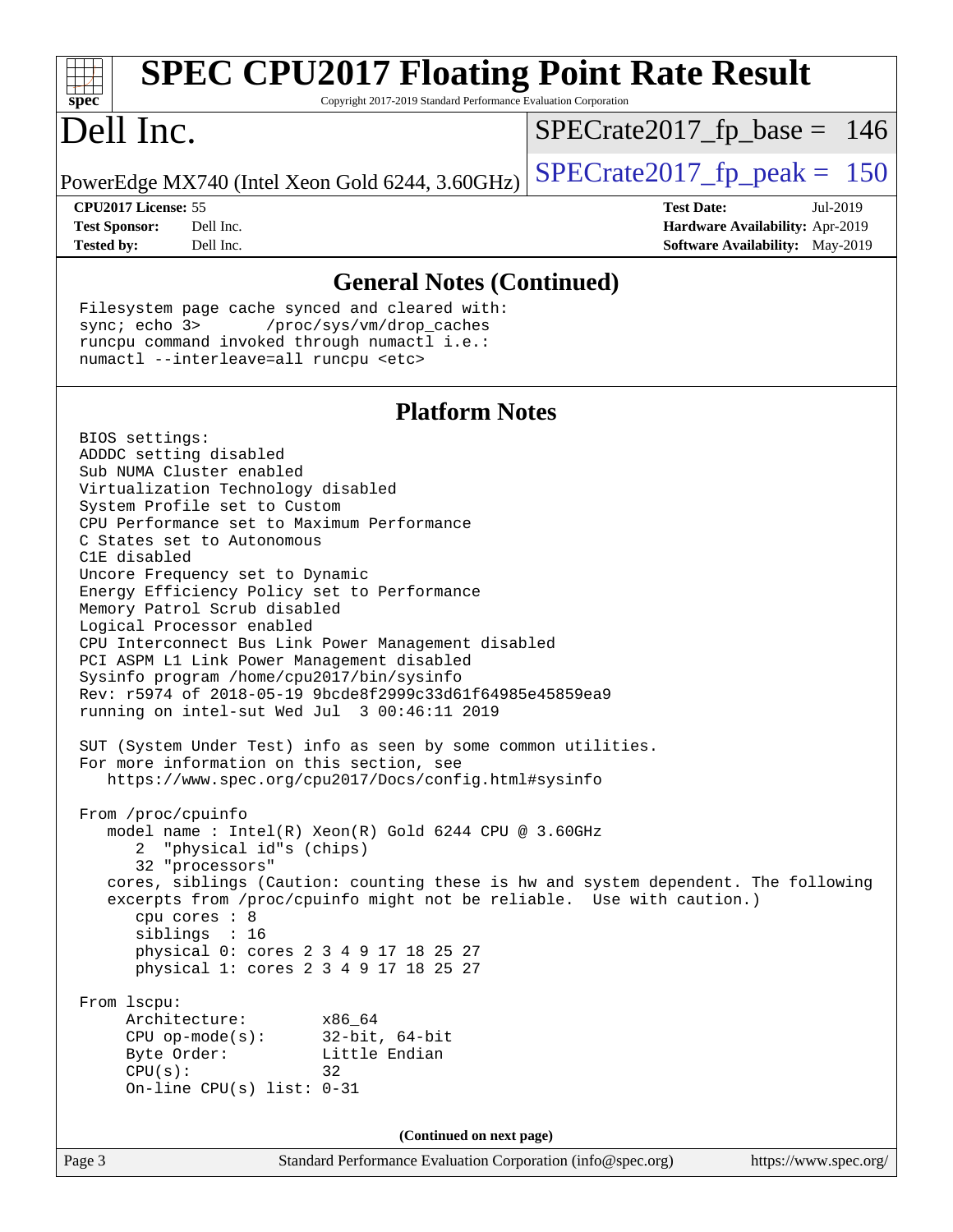| <b>SPEC CPU2017 Floating Point Rate Result</b><br>Copyright 2017-2019 Standard Performance Evaluation Corporation<br>Spec                                                                                                                                                                                                                                                                                                                                                                                                                                                                                                                            |                                                                                                            |  |  |  |  |  |
|------------------------------------------------------------------------------------------------------------------------------------------------------------------------------------------------------------------------------------------------------------------------------------------------------------------------------------------------------------------------------------------------------------------------------------------------------------------------------------------------------------------------------------------------------------------------------------------------------------------------------------------------------|------------------------------------------------------------------------------------------------------------|--|--|--|--|--|
| Dell Inc.                                                                                                                                                                                                                                                                                                                                                                                                                                                                                                                                                                                                                                            | $SPECrate2017_fp\_base = 146$                                                                              |  |  |  |  |  |
| PowerEdge MX740 (Intel Xeon Gold 6244, 3.60GHz)                                                                                                                                                                                                                                                                                                                                                                                                                                                                                                                                                                                                      | $SPECrate2017_fp\_peak = 150$                                                                              |  |  |  |  |  |
| CPU2017 License: 55<br>Dell Inc.<br><b>Test Sponsor:</b><br>Dell Inc.<br><b>Tested by:</b>                                                                                                                                                                                                                                                                                                                                                                                                                                                                                                                                                           | <b>Test Date:</b><br>Jul-2019<br>Hardware Availability: Apr-2019<br><b>Software Availability:</b> May-2019 |  |  |  |  |  |
| <b>General Notes (Continued)</b>                                                                                                                                                                                                                                                                                                                                                                                                                                                                                                                                                                                                                     |                                                                                                            |  |  |  |  |  |
| Filesystem page cache synced and cleared with:<br>sync $i$ echo $3$<br>/proc/sys/vm/drop_caches<br>runcpu command invoked through numactl i.e.:<br>numactl --interleave=all runcpu <etc></etc>                                                                                                                                                                                                                                                                                                                                                                                                                                                       |                                                                                                            |  |  |  |  |  |
| <b>Platform Notes</b>                                                                                                                                                                                                                                                                                                                                                                                                                                                                                                                                                                                                                                |                                                                                                            |  |  |  |  |  |
| BIOS settings:<br>ADDDC setting disabled<br>Sub NUMA Cluster enabled<br>Virtualization Technology disabled<br>System Profile set to Custom<br>CPU Performance set to Maximum Performance<br>C States set to Autonomous<br>C1E disabled<br>Uncore Frequency set to Dynamic<br>Energy Efficiency Policy set to Performance<br>Memory Patrol Scrub disabled<br>Logical Processor enabled<br>CPU Interconnect Bus Link Power Management disabled<br>PCI ASPM L1 Link Power Management disabled<br>Sysinfo program /home/cpu2017/bin/sysinfo<br>Rev: r5974 of 2018-05-19 9bcde8f2999c33d61f64985e45859ea9<br>running on intel-sut Wed Jul 3 00:46:11 2019 |                                                                                                            |  |  |  |  |  |

 SUT (System Under Test) info as seen by some common utilities. For more information on this section, see <https://www.spec.org/cpu2017/Docs/config.html#sysinfo>

 From /proc/cpuinfo model name : Intel(R) Xeon(R) Gold 6244 CPU @ 3.60GHz 2 "physical id"s (chips) 32 "processors" cores, siblings (Caution: counting these is hw and system dependent. The following excerpts from /proc/cpuinfo might not be reliable. Use with caution.) cpu cores : 8 siblings : 16 physical 0: cores 2 3 4 9 17 18 25 27 physical 1: cores 2 3 4 9 17 18 25 27

 From lscpu: Architecture: x86\_64 CPU op-mode(s): 32-bit, 64-bit Byte Order: Little Endian  $CPU(s):$  32 On-line CPU(s) list: 0-31

**(Continued on next page)**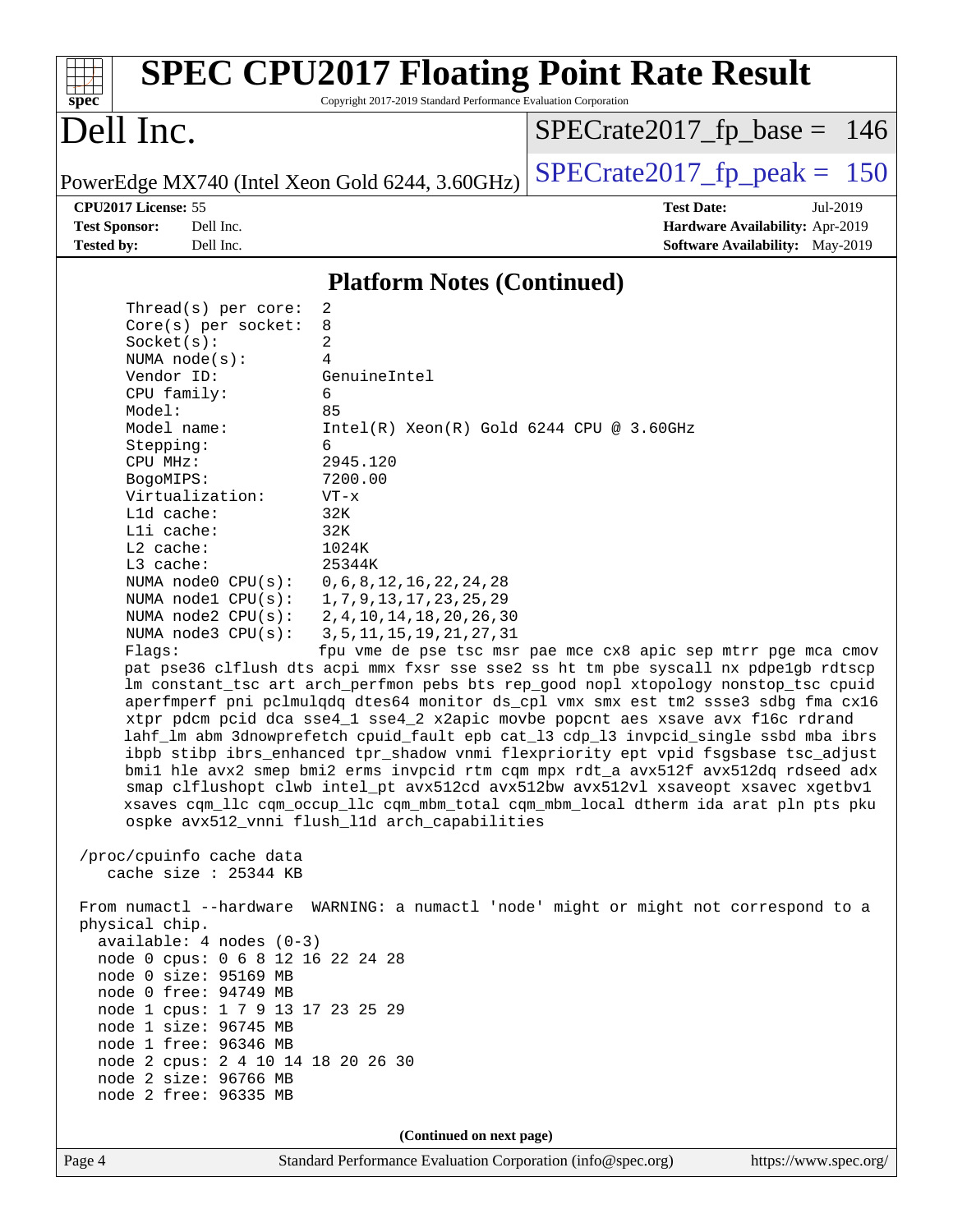| $spec^*$                                                                                                                                                                                                                                                                                                                                                                                                                                                                                                                                                                                                                                                                                                                                              | Copyright 2017-2019 Standard Performance Evaluation Corporation                                                                                                                                                                                                                                                                                   | <b>SPEC CPU2017 Floating Point Rate Result</b>                                                                                                                                                                                                                                                                                                                                                                                                                                                                                                                                                                                                                                                                                                                                                                                                                                                                                                              |
|-------------------------------------------------------------------------------------------------------------------------------------------------------------------------------------------------------------------------------------------------------------------------------------------------------------------------------------------------------------------------------------------------------------------------------------------------------------------------------------------------------------------------------------------------------------------------------------------------------------------------------------------------------------------------------------------------------------------------------------------------------|---------------------------------------------------------------------------------------------------------------------------------------------------------------------------------------------------------------------------------------------------------------------------------------------------------------------------------------------------|-------------------------------------------------------------------------------------------------------------------------------------------------------------------------------------------------------------------------------------------------------------------------------------------------------------------------------------------------------------------------------------------------------------------------------------------------------------------------------------------------------------------------------------------------------------------------------------------------------------------------------------------------------------------------------------------------------------------------------------------------------------------------------------------------------------------------------------------------------------------------------------------------------------------------------------------------------------|
| Dell Inc.                                                                                                                                                                                                                                                                                                                                                                                                                                                                                                                                                                                                                                                                                                                                             |                                                                                                                                                                                                                                                                                                                                                   | $SPECrate2017_fp\_base = 146$                                                                                                                                                                                                                                                                                                                                                                                                                                                                                                                                                                                                                                                                                                                                                                                                                                                                                                                               |
|                                                                                                                                                                                                                                                                                                                                                                                                                                                                                                                                                                                                                                                                                                                                                       | PowerEdge MX740 (Intel Xeon Gold 6244, 3.60GHz)                                                                                                                                                                                                                                                                                                   | $SPECrate2017_fp\_peak = 150$                                                                                                                                                                                                                                                                                                                                                                                                                                                                                                                                                                                                                                                                                                                                                                                                                                                                                                                               |
| CPU2017 License: 55                                                                                                                                                                                                                                                                                                                                                                                                                                                                                                                                                                                                                                                                                                                                   |                                                                                                                                                                                                                                                                                                                                                   | <b>Test Date:</b><br>Jul-2019                                                                                                                                                                                                                                                                                                                                                                                                                                                                                                                                                                                                                                                                                                                                                                                                                                                                                                                               |
| <b>Test Sponsor:</b><br>Dell Inc.<br><b>Tested by:</b><br>Dell Inc.                                                                                                                                                                                                                                                                                                                                                                                                                                                                                                                                                                                                                                                                                   |                                                                                                                                                                                                                                                                                                                                                   | Hardware Availability: Apr-2019                                                                                                                                                                                                                                                                                                                                                                                                                                                                                                                                                                                                                                                                                                                                                                                                                                                                                                                             |
|                                                                                                                                                                                                                                                                                                                                                                                                                                                                                                                                                                                                                                                                                                                                                       |                                                                                                                                                                                                                                                                                                                                                   | <b>Software Availability:</b> May-2019                                                                                                                                                                                                                                                                                                                                                                                                                                                                                                                                                                                                                                                                                                                                                                                                                                                                                                                      |
|                                                                                                                                                                                                                                                                                                                                                                                                                                                                                                                                                                                                                                                                                                                                                       | <b>Platform Notes (Continued)</b>                                                                                                                                                                                                                                                                                                                 |                                                                                                                                                                                                                                                                                                                                                                                                                                                                                                                                                                                                                                                                                                                                                                                                                                                                                                                                                             |
| Thread( $s$ ) per core:<br>$Core(s)$ per socket:<br>Socket(s):<br>NUMA $node(s)$ :<br>Vendor ID:<br>CPU family:<br>Model:<br>Model name:<br>Stepping:<br>CPU MHz:<br>BogoMIPS:<br>Virtualization:<br>L1d cache:<br>Lli cache:<br>L2 cache:<br>L3 cache:<br>NUMA $node0$ $CPU(s)$ :<br>NUMA $node1$ $CPU(s):$<br>NUMA $node2$ $CPU(s):$<br>NUMA $node3$ $CPU(s):$<br>Flags:<br>/proc/cpuinfo cache data<br>cache size : 25344 KB<br>physical chip.<br>$available: 4 nodes (0-3)$<br>node 0 cpus: 0 6 8 12 16 22 24 28<br>node 0 size: 95169 MB<br>node 0 free: 94749 MB<br>node 1 cpus: 1 7 9 13 17 23 25 29<br>node 1 size: 96745 MB<br>node 1 free: 96346 MB<br>node 2 cpus: 2 4 10 14 18 20 26 30<br>node 2 size: 96766 MB<br>node 2 free: 96335 MB | 2<br>8<br>2<br>4<br>GenuineIntel<br>6<br>85<br>$Intel(R) Xeon(R) Gold 6244 CPU @ 3.60GHz$<br>6<br>2945.120<br>7200.00<br>$VT - x$<br>32K<br>32K<br>1024K<br>25344K<br>0, 6, 8, 12, 16, 22, 24, 28<br>1, 7, 9, 13, 17, 23, 25, 29<br>2, 4, 10, 14, 18, 20, 26, 30<br>3, 5, 11, 15, 19, 21, 27, 31<br>ospke avx512_vnni flush_l1d arch_capabilities | fpu vme de pse tsc msr pae mce cx8 apic sep mtrr pge mca cmov<br>pat pse36 clflush dts acpi mmx fxsr sse sse2 ss ht tm pbe syscall nx pdpe1gb rdtscp<br>lm constant_tsc art arch_perfmon pebs bts rep_good nopl xtopology nonstop_tsc cpuid<br>aperfmperf pni pclmulqdq dtes64 monitor ds_cpl vmx smx est tm2 ssse3 sdbg fma cx16<br>xtpr pdcm pcid dca sse4_1 sse4_2 x2apic movbe popcnt aes xsave avx f16c rdrand<br>lahf_lm abm 3dnowprefetch cpuid_fault epb cat_13 cdp_13 invpcid_single ssbd mba ibrs<br>ibpb stibp ibrs_enhanced tpr_shadow vnmi flexpriority ept vpid fsgsbase tsc_adjust<br>bmil hle avx2 smep bmi2 erms invpcid rtm cqm mpx rdt_a avx512f avx512dq rdseed adx<br>smap clflushopt clwb intel_pt avx512cd avx512bw avx512vl xsaveopt xsavec xgetbvl<br>xsaves cqm_llc cqm_occup_llc cqm_mbm_total cqm_mbm_local dtherm ida arat pln pts pku<br>From numactl --hardware WARNING: a numactl 'node' might or might not correspond to a |
|                                                                                                                                                                                                                                                                                                                                                                                                                                                                                                                                                                                                                                                                                                                                                       | (Continued on next page)                                                                                                                                                                                                                                                                                                                          |                                                                                                                                                                                                                                                                                                                                                                                                                                                                                                                                                                                                                                                                                                                                                                                                                                                                                                                                                             |
| Page 4                                                                                                                                                                                                                                                                                                                                                                                                                                                                                                                                                                                                                                                                                                                                                | Standard Performance Evaluation Corporation (info@spec.org)                                                                                                                                                                                                                                                                                       | https://www.spec.org/                                                                                                                                                                                                                                                                                                                                                                                                                                                                                                                                                                                                                                                                                                                                                                                                                                                                                                                                       |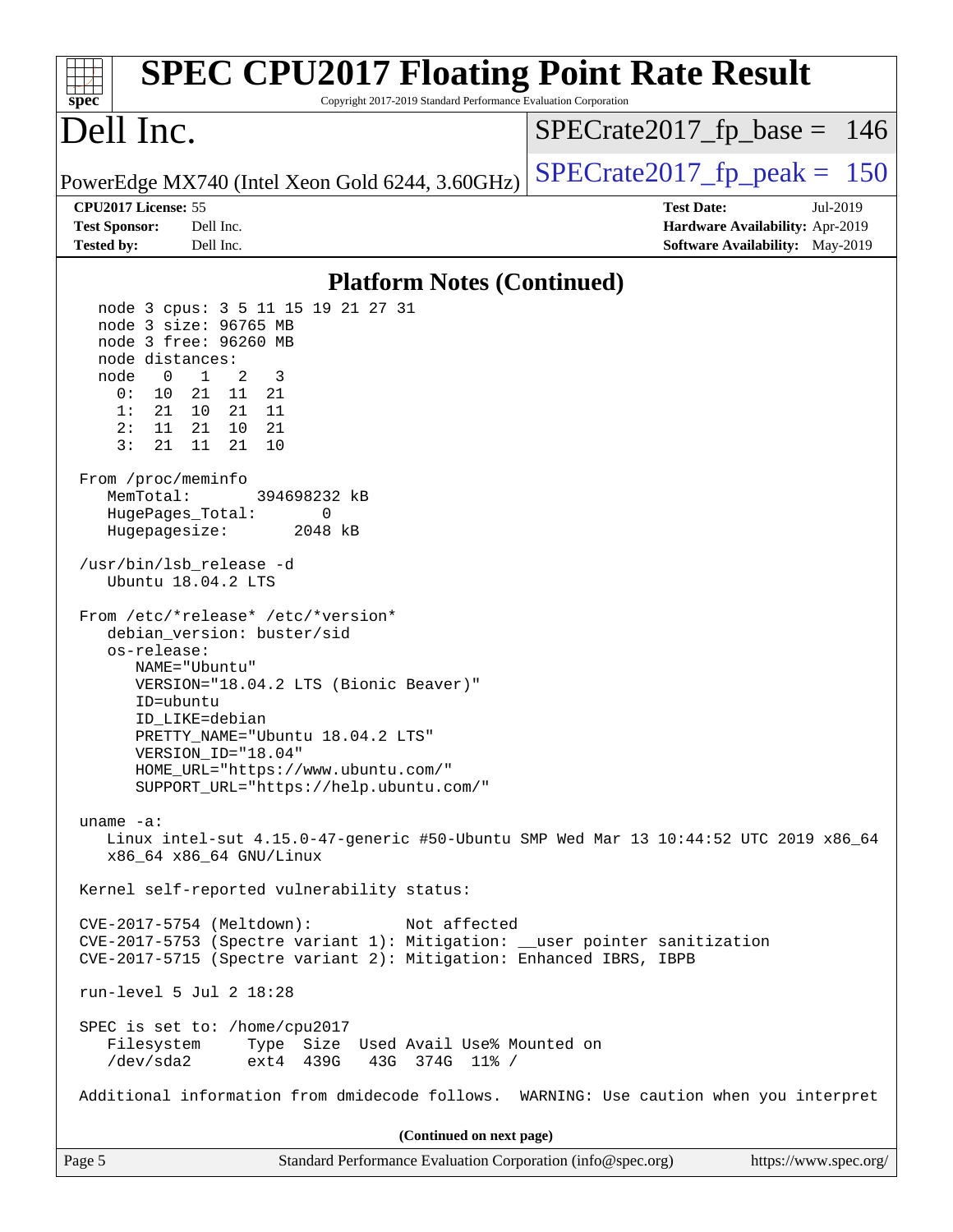| <b>SPEC CPU2017 Floating Point Rate Result</b><br>Copyright 2017-2019 Standard Performance Evaluation Corporation<br>$spec^*$                                                                                                                                                                                                                                                                                                                                                                                                                                                                                                                                                                                                                |                                                                                                     |
|----------------------------------------------------------------------------------------------------------------------------------------------------------------------------------------------------------------------------------------------------------------------------------------------------------------------------------------------------------------------------------------------------------------------------------------------------------------------------------------------------------------------------------------------------------------------------------------------------------------------------------------------------------------------------------------------------------------------------------------------|-----------------------------------------------------------------------------------------------------|
| Dell Inc.                                                                                                                                                                                                                                                                                                                                                                                                                                                                                                                                                                                                                                                                                                                                    | $SPECrate2017_fp\_base = 146$                                                                       |
| PowerEdge MX740 (Intel Xeon Gold 6244, 3.60GHz)                                                                                                                                                                                                                                                                                                                                                                                                                                                                                                                                                                                                                                                                                              | $SPECTate2017$ _fp_peak = 150                                                                       |
| CPU2017 License: 55<br><b>Test Sponsor:</b><br>Dell Inc.<br><b>Tested by:</b><br>Dell Inc.                                                                                                                                                                                                                                                                                                                                                                                                                                                                                                                                                                                                                                                   | <b>Test Date:</b><br>Jul-2019<br>Hardware Availability: Apr-2019<br>Software Availability: May-2019 |
| <b>Platform Notes (Continued)</b>                                                                                                                                                                                                                                                                                                                                                                                                                                                                                                                                                                                                                                                                                                            |                                                                                                     |
| node 3 cpus: 3 5 11 15 19 21 27 31<br>node 3 size: 96765 MB<br>node 3 free: 96260 MB<br>node distances:<br>$\mathbf{1}$<br>2<br>node<br>0<br>3<br>0:<br>10<br>21<br>21 11<br>21 11<br>1:<br>21<br>10<br>2:<br>21 10<br>11<br>21<br>3:<br>21<br>11<br>21<br>10<br>From /proc/meminfo<br>MemTotal:<br>394698232 kB<br>HugePages_Total:<br>0<br>Hugepagesize:<br>2048 kB<br>/usr/bin/lsb_release -d<br>Ubuntu 18.04.2 LTS<br>From /etc/*release* /etc/*version*<br>debian_version: buster/sid<br>os-release:<br>NAME="Ubuntu"<br>VERSION="18.04.2 LTS (Bionic Beaver)"<br>ID=ubuntu<br>ID_LIKE=debian<br>PRETTY_NAME="Ubuntu 18.04.2 LTS"<br>VERSION_ID="18.04"<br>HOME_URL="https://www.ubuntu.com/"<br>SUPPORT_URL="https://help.ubuntu.com/" |                                                                                                     |
| uname $-a$ :<br>Linux intel-sut 4.15.0-47-generic #50-Ubuntu SMP Wed Mar 13 10:44:52 UTC 2019 x86_64<br>x86_64 x86_64 GNU/Linux                                                                                                                                                                                                                                                                                                                                                                                                                                                                                                                                                                                                              |                                                                                                     |
| Kernel self-reported vulnerability status:                                                                                                                                                                                                                                                                                                                                                                                                                                                                                                                                                                                                                                                                                                   |                                                                                                     |
| CVE-2017-5754 (Meltdown):<br>Not affected<br>CVE-2017-5753 (Spectre variant 1): Mitigation: __user pointer sanitization<br>CVE-2017-5715 (Spectre variant 2): Mitigation: Enhanced IBRS, IBPB                                                                                                                                                                                                                                                                                                                                                                                                                                                                                                                                                |                                                                                                     |
| run-level 5 Jul 2 18:28                                                                                                                                                                                                                                                                                                                                                                                                                                                                                                                                                                                                                                                                                                                      |                                                                                                     |
| SPEC is set to: /home/cpu2017<br>Type Size Used Avail Use% Mounted on<br>Filesystem<br>/dev/sda2<br>ext4 439G<br>43G 374G 11% /                                                                                                                                                                                                                                                                                                                                                                                                                                                                                                                                                                                                              |                                                                                                     |
| Additional information from dmidecode follows. WARNING: Use caution when you interpret                                                                                                                                                                                                                                                                                                                                                                                                                                                                                                                                                                                                                                                       |                                                                                                     |
| (Continued on next page)                                                                                                                                                                                                                                                                                                                                                                                                                                                                                                                                                                                                                                                                                                                     |                                                                                                     |
| Page 5<br>Standard Performance Evaluation Corporation (info@spec.org)                                                                                                                                                                                                                                                                                                                                                                                                                                                                                                                                                                                                                                                                        | https://www.spec.org/                                                                               |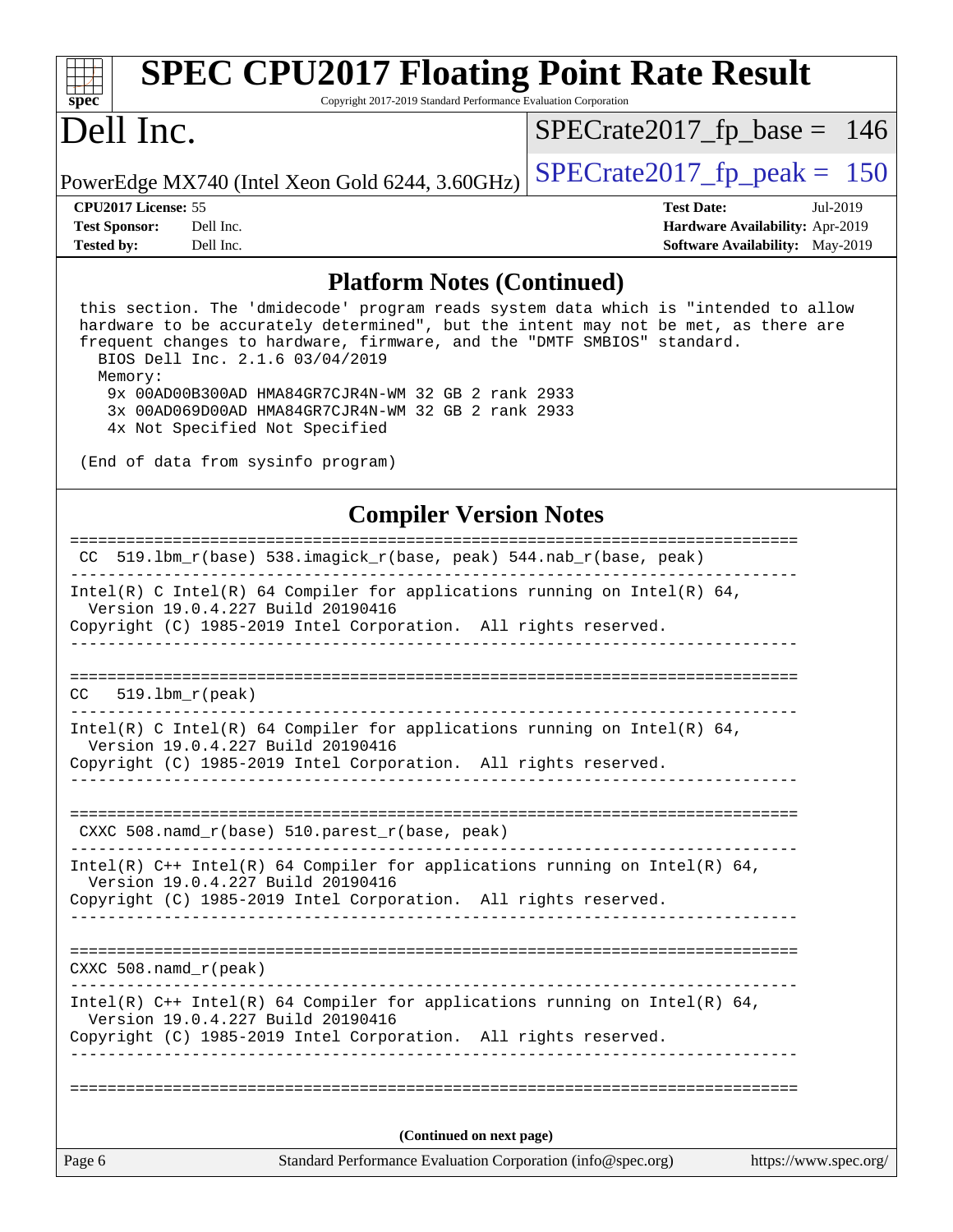| spec <sup>®</sup>                                                | <b>SPEC CPU2017 Floating Point Rate Result</b><br>Copyright 2017-2019 Standard Performance Evaluation Corporation                                                                                                                                                                       |                                                                                                     |
|------------------------------------------------------------------|-----------------------------------------------------------------------------------------------------------------------------------------------------------------------------------------------------------------------------------------------------------------------------------------|-----------------------------------------------------------------------------------------------------|
| Dell Inc.                                                        |                                                                                                                                                                                                                                                                                         | $SPECrate2017_fp\_base = 146$                                                                       |
|                                                                  | PowerEdge MX740 (Intel Xeon Gold 6244, 3.60GHz)                                                                                                                                                                                                                                         | $SPECTate2017$ _fp_peak = 150                                                                       |
| CPU2017 License: 55<br><b>Test Sponsor:</b><br><b>Tested by:</b> | Dell Inc.<br>Dell Inc.                                                                                                                                                                                                                                                                  | <b>Test Date:</b><br>Jul-2019<br>Hardware Availability: Apr-2019<br>Software Availability: May-2019 |
|                                                                  | <b>Platform Notes (Continued)</b>                                                                                                                                                                                                                                                       |                                                                                                     |
| Memory:                                                          | this section. The 'dmidecode' program reads system data which is "intended to allow<br>hardware to be accurately determined", but the intent may not be met, as there are<br>frequent changes to hardware, firmware, and the "DMTF SMBIOS" standard.<br>BIOS Dell Inc. 2.1.6 03/04/2019 |                                                                                                     |
|                                                                  | 9x 00AD00B300AD HMA84GR7CJR4N-WM 32 GB 2 rank 2933<br>3x 00AD069D00AD HMA84GR7CJR4N-WM 32 GB 2 rank 2933<br>4x Not Specified Not Specified                                                                                                                                              |                                                                                                     |
|                                                                  | (End of data from sysinfo program)                                                                                                                                                                                                                                                      |                                                                                                     |
|                                                                  | <b>Compiler Version Notes</b>                                                                                                                                                                                                                                                           |                                                                                                     |
|                                                                  | CC 519.1bm_r(base) 538.imagick_r(base, peak) 544.nab_r(base, peak)                                                                                                                                                                                                                      |                                                                                                     |
|                                                                  | Intel(R) C Intel(R) 64 Compiler for applications running on Intel(R) 64,<br>Version 19.0.4.227 Build 20190416<br>Copyright (C) 1985-2019 Intel Corporation. All rights reserved.                                                                                                        |                                                                                                     |
| CC.                                                              | $519.1$ bm $r$ (peak)                                                                                                                                                                                                                                                                   |                                                                                                     |
|                                                                  | Intel(R) C Intel(R) 64 Compiler for applications running on Intel(R) 64,<br>Version 19.0.4.227 Build 20190416<br>Copyright (C) 1985-2019 Intel Corporation. All rights reserved.                                                                                                        |                                                                                                     |
|                                                                  | CXXC 508.namd_r(base) 510.parest_r(base, peak)                                                                                                                                                                                                                                          |                                                                                                     |
|                                                                  | Intel(R) $C++$ Intel(R) 64 Compiler for applications running on Intel(R) 64,<br>Version 19.0.4.227 Build 20190416<br>Copyright (C) 1985-2019 Intel Corporation. All rights reserved.<br>_________________________________                                                               |                                                                                                     |
| $CXXC 508.namd_r (peak)$                                         |                                                                                                                                                                                                                                                                                         |                                                                                                     |
|                                                                  | Intel(R) $C++$ Intel(R) 64 Compiler for applications running on Intel(R) 64,<br>Version 19.0.4.227 Build 20190416<br>Copyright (C) 1985-2019 Intel Corporation. All rights reserved.                                                                                                    |                                                                                                     |
|                                                                  |                                                                                                                                                                                                                                                                                         |                                                                                                     |
|                                                                  | (Continued on next page)                                                                                                                                                                                                                                                                |                                                                                                     |
| Page 6                                                           | Standard Performance Evaluation Corporation (info@spec.org)                                                                                                                                                                                                                             | https://www.spec.org/                                                                               |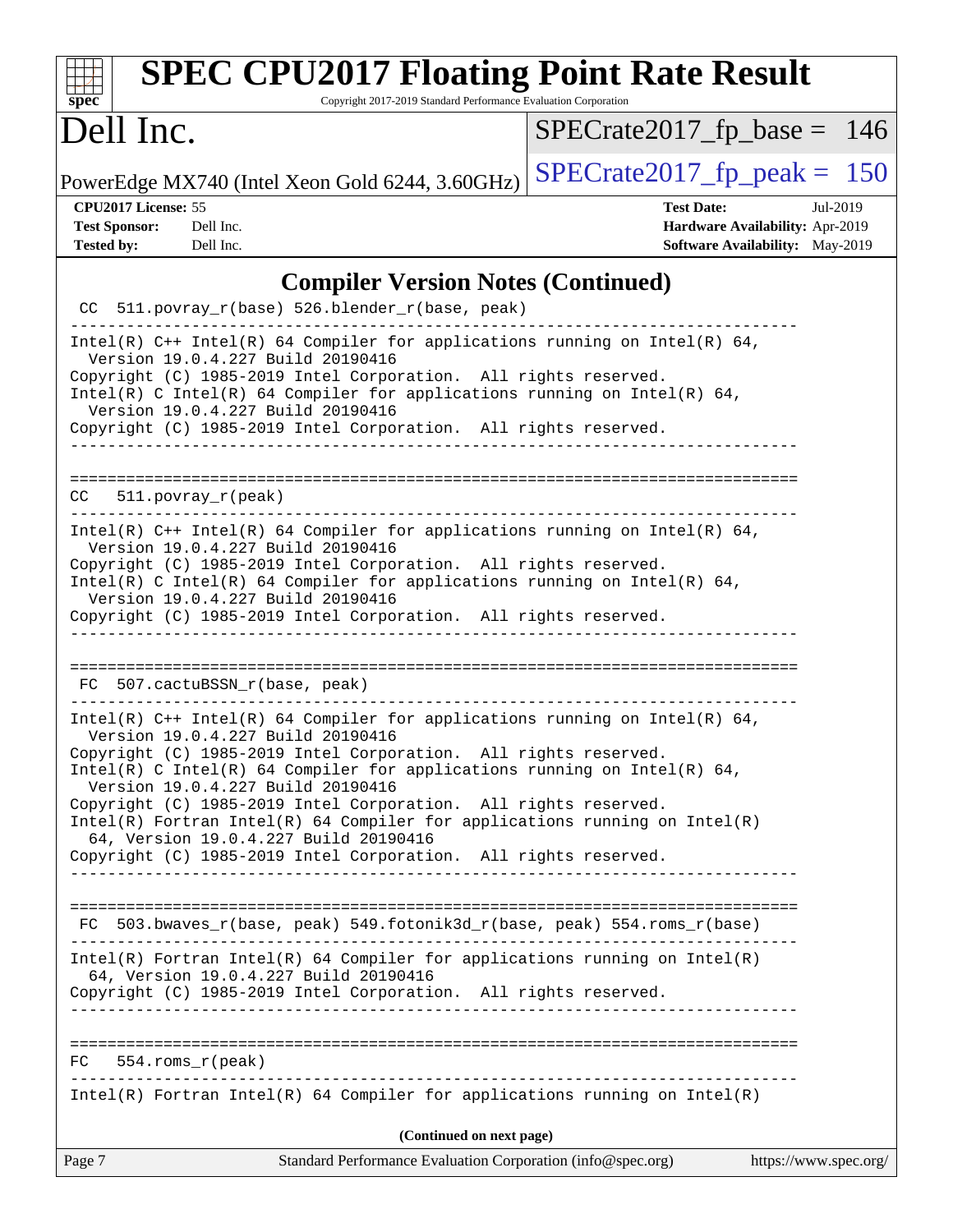| <b>SPEC CPU2017 Floating Point Rate Result</b><br>Copyright 2017-2019 Standard Performance Evaluation Corporation<br>$sp\overline{ec}$                                                                                                                                                                                                                                                                                                                                                                                                                               |                                                                                                     |
|----------------------------------------------------------------------------------------------------------------------------------------------------------------------------------------------------------------------------------------------------------------------------------------------------------------------------------------------------------------------------------------------------------------------------------------------------------------------------------------------------------------------------------------------------------------------|-----------------------------------------------------------------------------------------------------|
| Dell Inc.                                                                                                                                                                                                                                                                                                                                                                                                                                                                                                                                                            | $SPECrate2017_fp\_base = 146$                                                                       |
| PowerEdge MX740 (Intel Xeon Gold 6244, 3.60GHz)                                                                                                                                                                                                                                                                                                                                                                                                                                                                                                                      | $SPECrate2017fp peak = 150$                                                                         |
| CPU2017 License: 55<br><b>Test Sponsor:</b><br>Dell Inc.<br><b>Tested by:</b><br>Dell Inc.                                                                                                                                                                                                                                                                                                                                                                                                                                                                           | <b>Test Date:</b><br>Jul-2019<br>Hardware Availability: Apr-2019<br>Software Availability: May-2019 |
| <b>Compiler Version Notes (Continued)</b>                                                                                                                                                                                                                                                                                                                                                                                                                                                                                                                            |                                                                                                     |
| CC 511.povray_r(base) 526.blender_r(base, peak)                                                                                                                                                                                                                                                                                                                                                                                                                                                                                                                      |                                                                                                     |
| Intel(R) $C++$ Intel(R) 64 Compiler for applications running on Intel(R) 64,<br>Version 19.0.4.227 Build 20190416<br>Copyright (C) 1985-2019 Intel Corporation. All rights reserved.<br>Intel(R) C Intel(R) 64 Compiler for applications running on Intel(R) 64,<br>Version 19.0.4.227 Build 20190416<br>Copyright (C) 1985-2019 Intel Corporation. All rights reserved.                                                                                                                                                                                             |                                                                                                     |
| $511. povray_r (peak)$<br>CC.                                                                                                                                                                                                                                                                                                                                                                                                                                                                                                                                        |                                                                                                     |
| Intel(R) $C++$ Intel(R) 64 Compiler for applications running on Intel(R) 64,<br>Version 19.0.4.227 Build 20190416<br>Copyright (C) 1985-2019 Intel Corporation. All rights reserved.<br>Intel(R) C Intel(R) 64 Compiler for applications running on Intel(R) 64,<br>Version 19.0.4.227 Build 20190416<br>Copyright (C) 1985-2019 Intel Corporation. All rights reserved.                                                                                                                                                                                             |                                                                                                     |
| FC 507.cactuBSSN_r(base, peak)                                                                                                                                                                                                                                                                                                                                                                                                                                                                                                                                       |                                                                                                     |
| Intel(R) $C++$ Intel(R) 64 Compiler for applications running on Intel(R) 64,<br>Version 19.0.4.227 Build 20190416<br>Copyright (C) 1985-2019 Intel Corporation. All rights reserved.<br>Intel(R) C Intel(R) 64 Compiler for applications running on Intel(R) 64,<br>Version 19.0.4.227 Build 20190416<br>Copyright (C) 1985-2019 Intel Corporation. All rights reserved.<br>$Intel(R)$ Fortran Intel(R) 64 Compiler for applications running on Intel(R)<br>64, Version 19.0.4.227 Build 20190416<br>Copyright (C) 1985-2019 Intel Corporation. All rights reserved. |                                                                                                     |
| FC 503.bwaves_r(base, peak) 549.fotonik3d_r(base, peak) 554.roms_r(base)                                                                                                                                                                                                                                                                                                                                                                                                                                                                                             |                                                                                                     |
| $Intel(R)$ Fortran Intel(R) 64 Compiler for applications running on Intel(R)<br>64, Version 19.0.4.227 Build 20190416<br>Copyright (C) 1985-2019 Intel Corporation. All rights reserved.                                                                                                                                                                                                                                                                                                                                                                             |                                                                                                     |
| $FC$ 554.roms $r$ (peak)                                                                                                                                                                                                                                                                                                                                                                                                                                                                                                                                             |                                                                                                     |
| $Intel(R)$ Fortran Intel(R) 64 Compiler for applications running on Intel(R)                                                                                                                                                                                                                                                                                                                                                                                                                                                                                         |                                                                                                     |
| (Continued on next page)                                                                                                                                                                                                                                                                                                                                                                                                                                                                                                                                             |                                                                                                     |
| Page 7<br>Standard Performance Evaluation Corporation (info@spec.org)                                                                                                                                                                                                                                                                                                                                                                                                                                                                                                | https://www.spec.org/                                                                               |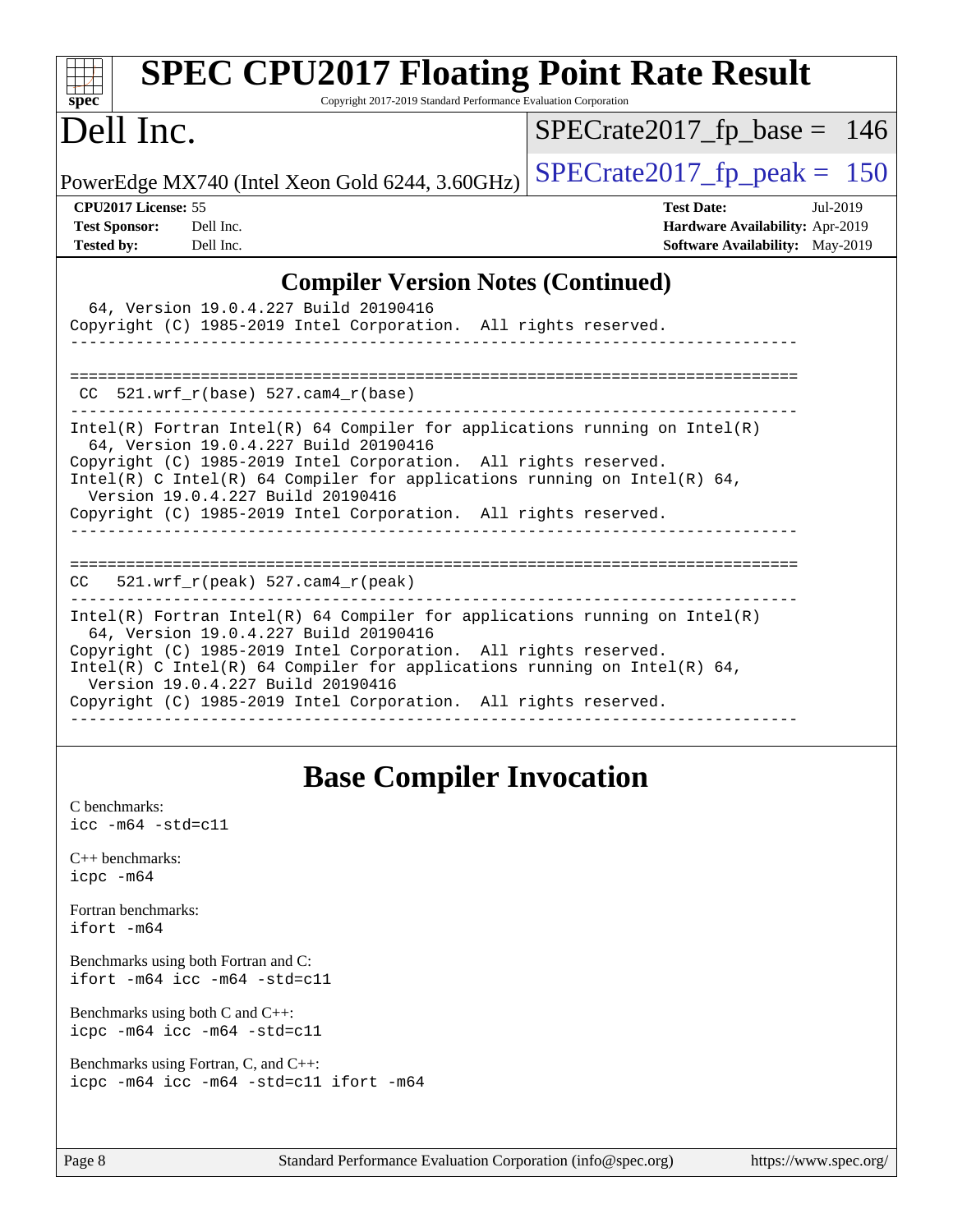| <b>SPEC CPU2017 Floating Point Rate Result</b><br>Copyright 2017-2019 Standard Performance Evaluation Corporation<br>$spec^*$                                                                                                                                                                                                                                                |                                 |
|------------------------------------------------------------------------------------------------------------------------------------------------------------------------------------------------------------------------------------------------------------------------------------------------------------------------------------------------------------------------------|---------------------------------|
| Dell Inc.                                                                                                                                                                                                                                                                                                                                                                    | $SPECrate2017_fp\_base = 146$   |
| PowerEdge MX740 (Intel Xeon Gold 6244, 3.60GHz)                                                                                                                                                                                                                                                                                                                              | $SPECrate2017fp peak = 150$     |
| CPU2017 License: 55                                                                                                                                                                                                                                                                                                                                                          | <b>Test Date:</b><br>Jul-2019   |
| <b>Test Sponsor:</b><br>Dell Inc.                                                                                                                                                                                                                                                                                                                                            | Hardware Availability: Apr-2019 |
| <b>Tested by:</b><br>Dell Inc.                                                                                                                                                                                                                                                                                                                                               | Software Availability: May-2019 |
| <b>Compiler Version Notes (Continued)</b>                                                                                                                                                                                                                                                                                                                                    |                                 |
| 64, Version 19.0.4.227 Build 20190416                                                                                                                                                                                                                                                                                                                                        |                                 |
| Copyright (C) 1985-2019 Intel Corporation. All rights reserved.                                                                                                                                                                                                                                                                                                              |                                 |
|                                                                                                                                                                                                                                                                                                                                                                              |                                 |
| $CC$ 521.wrf_r(base) 527.cam4_r(base)                                                                                                                                                                                                                                                                                                                                        |                                 |
| $Intel(R)$ Fortran Intel(R) 64 Compiler for applications running on Intel(R)<br>64, Version 19.0.4.227 Build 20190416<br>Copyright (C) 1985-2019 Intel Corporation. All rights reserved.<br>Intel(R) C Intel(R) 64 Compiler for applications running on Intel(R) 64,<br>Version 19.0.4.227 Build 20190416<br>Copyright (C) 1985-2019 Intel Corporation. All rights reserved. |                                 |
| $CC = 521.wrf_r(peak) 527.cam4_r(peak)$                                                                                                                                                                                                                                                                                                                                      |                                 |
| Intel(R) Fortran Intel(R) 64 Compiler for applications running on Intel(R)<br>64, Version 19.0.4.227 Build 20190416<br>Copyright (C) 1985-2019 Intel Corporation. All rights reserved.<br>Intel(R) C Intel(R) 64 Compiler for applications running on Intel(R) 64,<br>Version 19.0.4.227 Build 20190416<br>Copyright (C) 1985-2019 Intel Corporation. All rights reserved.   |                                 |
|                                                                                                                                                                                                                                                                                                                                                                              |                                 |

# **[Base Compiler Invocation](http://www.spec.org/auto/cpu2017/Docs/result-fields.html#BaseCompilerInvocation)**

| C benchmarks:<br>$\text{icc}$ -m64 -std=c11                                     |
|---------------------------------------------------------------------------------|
| $C_{++}$ benchmarks:<br>$icpc$ $-m64$                                           |
| Fortran benchmarks:<br>ifort -m64                                               |
| Benchmarks using both Fortran and C:<br>ifort $-m64$ icc $-m64$ $-std= c11$     |
| Benchmarks using both $C$ and $C++$ :<br>$icpc$ -m64 $icc$ -m64 -std=c11        |
| Benchmarks using Fortran, C, and C++:<br>icpc -m64 icc -m64 -std=c11 ifort -m64 |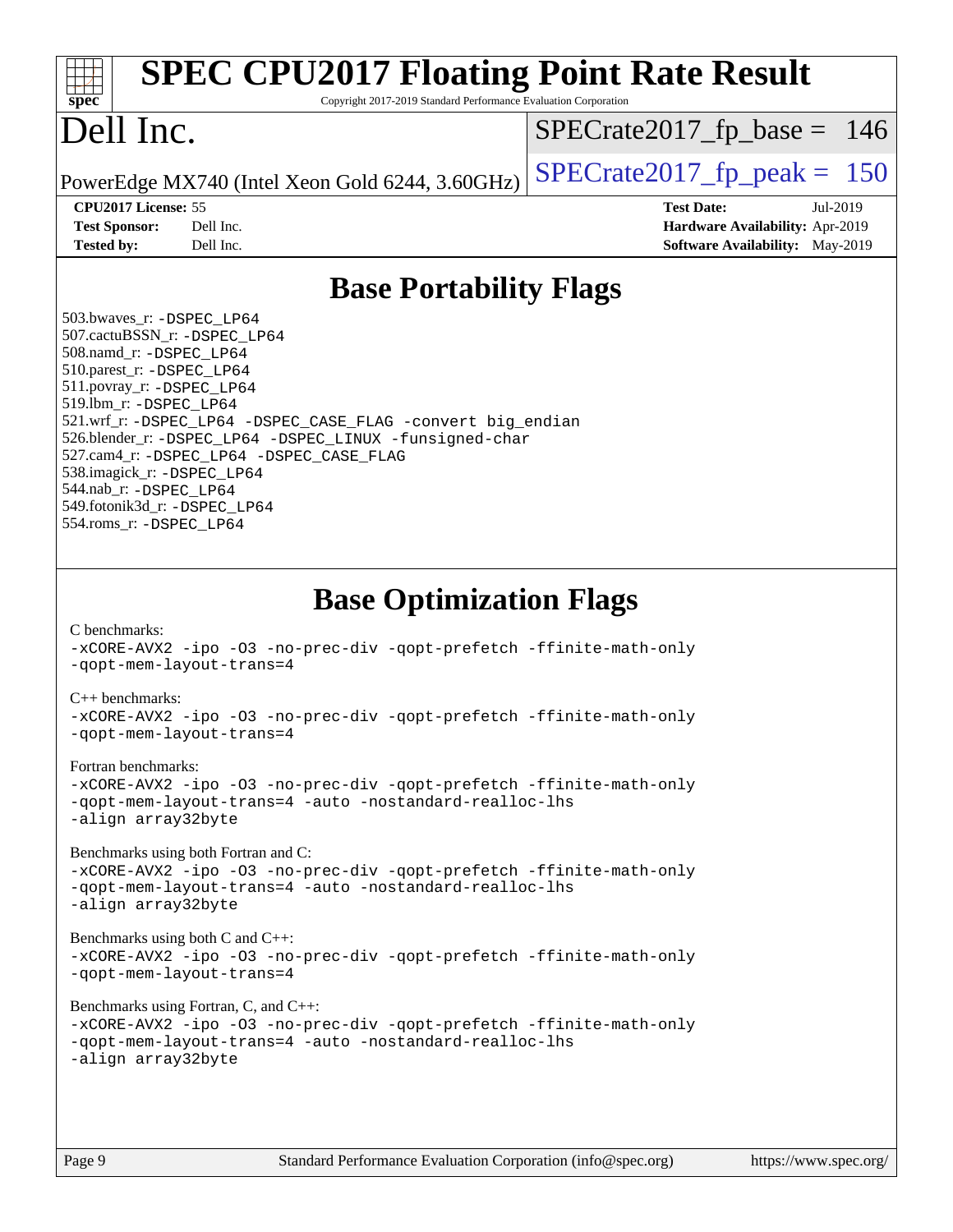| <b>SPEC CPU2017 Floating Point Rate Result</b><br>Copyright 2017-2019 Standard Performance Evaluation Corporation<br>spec <sup>®</sup>                                                                                                                                                                                                                                                                                                                                                                                                                                                                                                                                                                                                                                                                                                                                                                                                                                                                    |                                                                                                            |
|-----------------------------------------------------------------------------------------------------------------------------------------------------------------------------------------------------------------------------------------------------------------------------------------------------------------------------------------------------------------------------------------------------------------------------------------------------------------------------------------------------------------------------------------------------------------------------------------------------------------------------------------------------------------------------------------------------------------------------------------------------------------------------------------------------------------------------------------------------------------------------------------------------------------------------------------------------------------------------------------------------------|------------------------------------------------------------------------------------------------------------|
| Dell Inc.                                                                                                                                                                                                                                                                                                                                                                                                                                                                                                                                                                                                                                                                                                                                                                                                                                                                                                                                                                                                 | $SPECrate2017_fp\_base = 146$                                                                              |
| PowerEdge MX740 (Intel Xeon Gold 6244, 3.60GHz)                                                                                                                                                                                                                                                                                                                                                                                                                                                                                                                                                                                                                                                                                                                                                                                                                                                                                                                                                           | $SPECTate2017$ fp peak = 150                                                                               |
| CPU2017 License: 55<br><b>Test Sponsor:</b><br>Dell Inc.<br><b>Tested by:</b><br>Dell Inc.                                                                                                                                                                                                                                                                                                                                                                                                                                                                                                                                                                                                                                                                                                                                                                                                                                                                                                                | <b>Test Date:</b><br>Jul-2019<br>Hardware Availability: Apr-2019<br><b>Software Availability:</b> May-2019 |
| <b>Base Portability Flags</b>                                                                                                                                                                                                                                                                                                                                                                                                                                                                                                                                                                                                                                                                                                                                                                                                                                                                                                                                                                             |                                                                                                            |
| 503.bwaves_r: -DSPEC LP64<br>507.cactuBSSN_r: - DSPEC LP64<br>508.namd_r: -DSPEC_LP64<br>510.parest_r: -DSPEC LP64<br>511.povray_r: -DSPEC_LP64<br>519.lbm_r: -DSPEC_LP64<br>521.wrf_r: -DSPEC_LP64 -DSPEC_CASE_FLAG -convert big_endian<br>526.blender_r: -DSPEC_LP64 -DSPEC_LINUX -funsigned-char<br>527.cam4_r: -DSPEC_LP64 -DSPEC_CASE_FLAG<br>538.imagick_r: -DSPEC_LP64<br>544.nab r: -DSPEC LP64<br>549.fotonik3d_r: -DSPEC_LP64<br>554.roms_r: -DSPEC_LP64                                                                                                                                                                                                                                                                                                                                                                                                                                                                                                                                        |                                                                                                            |
| <b>Base Optimization Flags</b><br>C benchmarks:<br>-xCORE-AVX2 -ipo -03 -no-prec-div -qopt-prefetch -ffinite-math-only<br>-gopt-mem-layout-trans=4<br>$C_{++}$ benchmarks:<br>-xCORE-AVX2 -ipo -03 -no-prec-div -qopt-prefetch -ffinite-math-only<br>-gopt-mem-layout-trans=4<br>Fortran benchmarks:<br>-xCORE-AVX2 -ipo -03 -no-prec-div -qopt-prefetch -ffinite-math-only<br>-qopt-mem-layout-trans=4 -auto -nostandard-realloc-lhs<br>-align array32byte<br>Benchmarks using both Fortran and C:<br>-xCORE-AVX2 -ipo -03 -no-prec-div -qopt-prefetch -ffinite-math-only<br>-gopt-mem-layout-trans=4 -auto -nostandard-realloc-lhs<br>-align array32byte<br>Benchmarks using both $C$ and $C_{++}$ :<br>-xCORE-AVX2 -ipo -03 -no-prec-div -qopt-prefetch -ffinite-math-only<br>-qopt-mem-layout-trans=4<br>Benchmarks using Fortran, C, and C++:<br>-xCORE-AVX2 -ipo -03 -no-prec-div -qopt-prefetch -ffinite-math-only<br>-qopt-mem-layout-trans=4 -auto -nostandard-realloc-lhs<br>-align array32byte |                                                                                                            |
| Standard Performance Evaluation Corporation (info@spec.org)<br>Page 9                                                                                                                                                                                                                                                                                                                                                                                                                                                                                                                                                                                                                                                                                                                                                                                                                                                                                                                                     | https://www.spec.org/                                                                                      |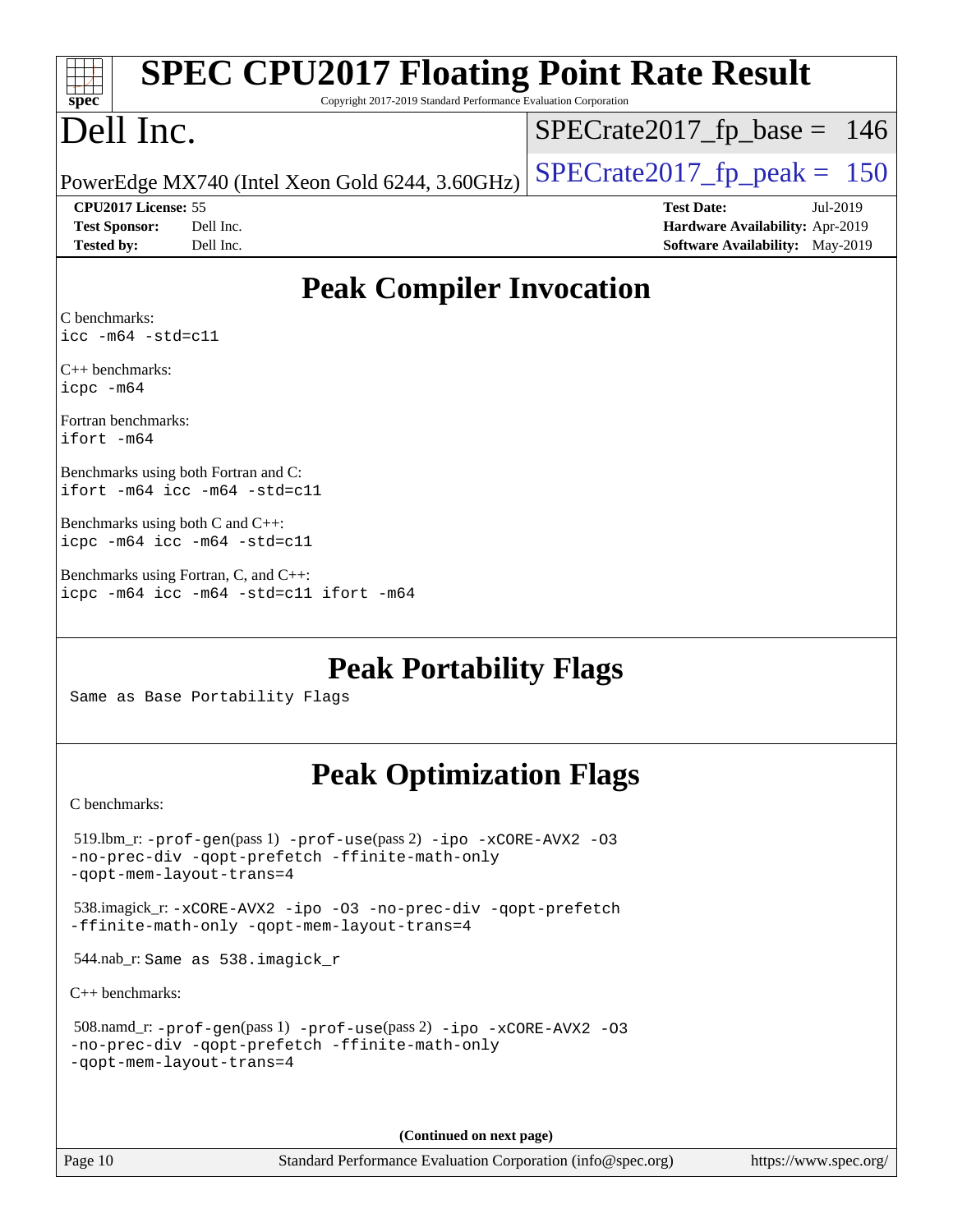| <b>SPEC CPU2017 Floating Point Rate Result</b><br>spec<br>Copyright 2017-2019 Standard Performance Evaluation Corporation                                   |                                                                           |
|-------------------------------------------------------------------------------------------------------------------------------------------------------------|---------------------------------------------------------------------------|
| Dell Inc.                                                                                                                                                   | $SPECrate2017_fp\_base = 146$                                             |
| PowerEdge MX740 (Intel Xeon Gold 6244, 3.60GHz)                                                                                                             | $SPECrate2017_fp\_peak = 150$                                             |
| CPU2017 License: 55                                                                                                                                         | <b>Test Date:</b><br>Jul-2019                                             |
| <b>Test Sponsor:</b><br>Dell Inc.<br><b>Tested by:</b><br>Dell Inc.                                                                                         | Hardware Availability: Apr-2019<br><b>Software Availability:</b> May-2019 |
| <b>Peak Compiler Invocation</b>                                                                                                                             |                                                                           |
| C benchmarks:                                                                                                                                               |                                                                           |
| $\text{icc -m64 -std=c11}$                                                                                                                                  |                                                                           |
| $C_{++}$ benchmarks:<br>icpc -m64                                                                                                                           |                                                                           |
| Fortran benchmarks:<br>ifort -m64                                                                                                                           |                                                                           |
| Benchmarks using both Fortran and C:<br>ifort -m64 icc -m64 -std=c11                                                                                        |                                                                           |
| Benchmarks using both $C$ and $C++$ :<br>icpc -m64 icc -m64 -std=c11                                                                                        |                                                                           |
| Benchmarks using Fortran, C, and C++:<br>icpc -m64 icc -m64 -std=c11 ifort -m64                                                                             |                                                                           |
| <b>Peak Portability Flags</b><br>Same as Base Portability Flags                                                                                             |                                                                           |
| <b>Peak Optimization Flags</b>                                                                                                                              |                                                                           |
| C benchmarks:                                                                                                                                               |                                                                           |
| $519.$ lbm_r: - $prof-gen(pass1)$ - $prof-use(pass2)$ -ipo - $xCORE-AVX2$ -03<br>-no-prec-div -qopt-prefetch -ffinite-math-only<br>-gopt-mem-layout-trans=4 |                                                                           |
| 538.imagick_r:-xCORE-AVX2 -ipo -03 -no-prec-div -qopt-prefetch<br>-ffinite-math-only -qopt-mem-layout-trans=4                                               |                                                                           |
| 544.nab_r: Same as 538.imagick_r                                                                                                                            |                                                                           |
| $C_{++}$ benchmarks:                                                                                                                                        |                                                                           |
| 508.namd_r: -prof-gen(pass 1) -prof-use(pass 2) -ipo -xCORE-AVX2 -03<br>-no-prec-div -qopt-prefetch -ffinite-math-only<br>-qopt-mem-layout-trans=4          |                                                                           |
|                                                                                                                                                             |                                                                           |

**(Continued on next page)**

Page 10 Standard Performance Evaluation Corporation [\(info@spec.org\)](mailto:info@spec.org) <https://www.spec.org/>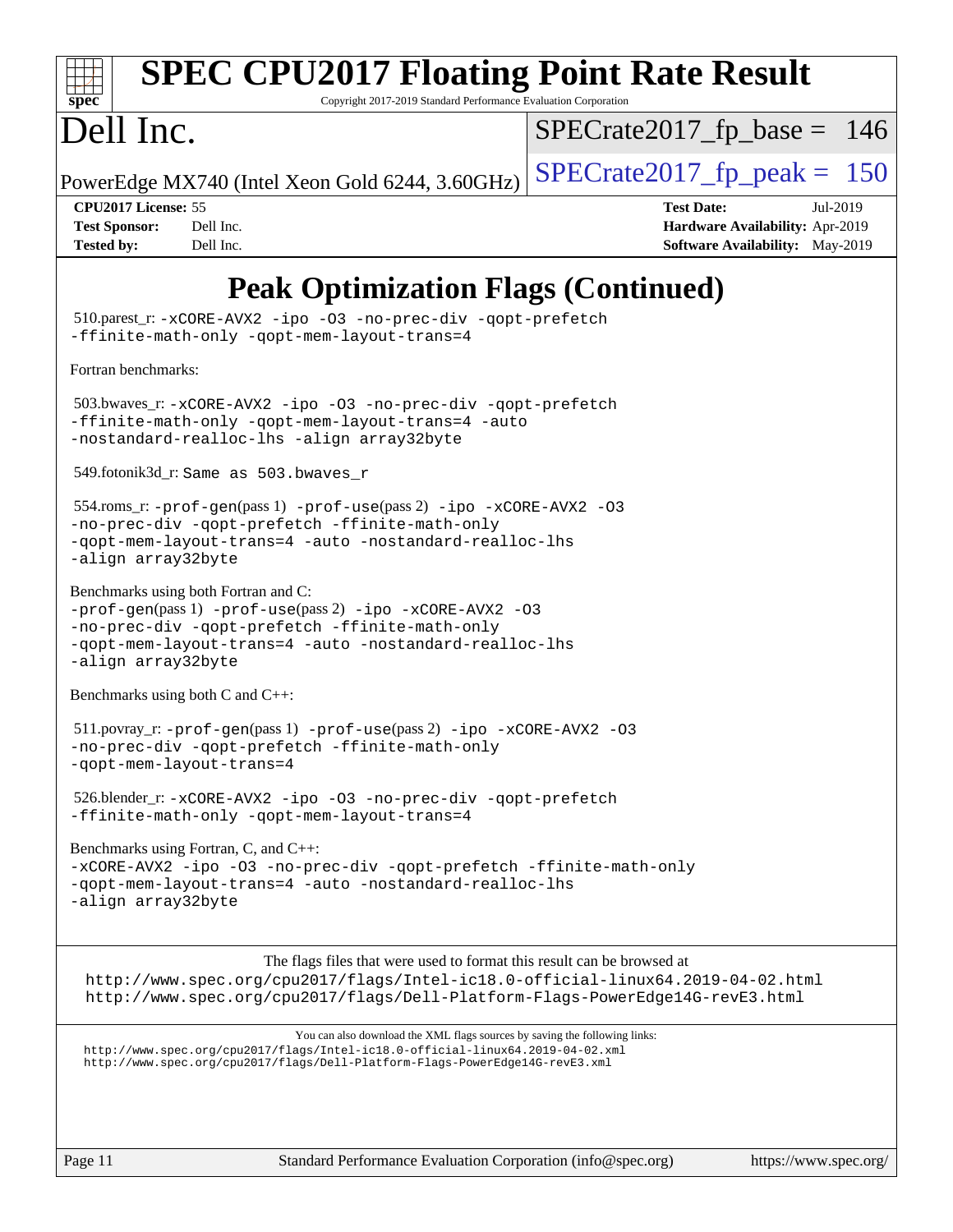

# **[SPEC CPU2017 Floating Point Rate Result](http://www.spec.org/auto/cpu2017/Docs/result-fields.html#SPECCPU2017FloatingPointRateResult)**

Copyright 2017-2019 Standard Performance Evaluation Corporation

## Dell Inc.

 $SPECTate2017_fp\_base = 146$ 

PowerEdge MX740 (Intel Xeon Gold 6244, 3.60GHz)  $\left|$  [SPECrate2017\\_fp\\_peak =](http://www.spec.org/auto/cpu2017/Docs/result-fields.html#SPECrate2017fppeak) 150

**[CPU2017 License:](http://www.spec.org/auto/cpu2017/Docs/result-fields.html#CPU2017License)** 55 **[Test Date:](http://www.spec.org/auto/cpu2017/Docs/result-fields.html#TestDate)** Jul-2019 **[Test Sponsor:](http://www.spec.org/auto/cpu2017/Docs/result-fields.html#TestSponsor)** Dell Inc. **[Hardware Availability:](http://www.spec.org/auto/cpu2017/Docs/result-fields.html#HardwareAvailability)** Apr-2019 **[Tested by:](http://www.spec.org/auto/cpu2017/Docs/result-fields.html#Testedby)** Dell Inc. Dell Inc. **[Software Availability:](http://www.spec.org/auto/cpu2017/Docs/result-fields.html#SoftwareAvailability)** May-2019

## **[Peak Optimization Flags \(Continued\)](http://www.spec.org/auto/cpu2017/Docs/result-fields.html#PeakOptimizationFlags)**

 510.parest\_r: [-xCORE-AVX2](http://www.spec.org/cpu2017/results/res2019q3/cpu2017-20190722-16272.flags.html#user_peakCXXOPTIMIZE510_parest_r_f-xCORE-AVX2) [-ipo](http://www.spec.org/cpu2017/results/res2019q3/cpu2017-20190722-16272.flags.html#user_peakCXXOPTIMIZE510_parest_r_f-ipo) [-O3](http://www.spec.org/cpu2017/results/res2019q3/cpu2017-20190722-16272.flags.html#user_peakCXXOPTIMIZE510_parest_r_f-O3) [-no-prec-div](http://www.spec.org/cpu2017/results/res2019q3/cpu2017-20190722-16272.flags.html#user_peakCXXOPTIMIZE510_parest_r_f-no-prec-div) [-qopt-prefetch](http://www.spec.org/cpu2017/results/res2019q3/cpu2017-20190722-16272.flags.html#user_peakCXXOPTIMIZE510_parest_r_f-qopt-prefetch) [-ffinite-math-only](http://www.spec.org/cpu2017/results/res2019q3/cpu2017-20190722-16272.flags.html#user_peakCXXOPTIMIZE510_parest_r_f_finite_math_only_cb91587bd2077682c4b38af759c288ed7c732db004271a9512da14a4f8007909a5f1427ecbf1a0fb78ff2a814402c6114ac565ca162485bbcae155b5e4258871) [-qopt-mem-layout-trans=4](http://www.spec.org/cpu2017/results/res2019q3/cpu2017-20190722-16272.flags.html#user_peakCXXOPTIMIZE510_parest_r_f-qopt-mem-layout-trans_fa39e755916c150a61361b7846f310bcdf6f04e385ef281cadf3647acec3f0ae266d1a1d22d972a7087a248fd4e6ca390a3634700869573d231a252c784941a8) [Fortran benchmarks](http://www.spec.org/auto/cpu2017/Docs/result-fields.html#Fortranbenchmarks): 503.bwaves\_r: [-xCORE-AVX2](http://www.spec.org/cpu2017/results/res2019q3/cpu2017-20190722-16272.flags.html#user_peakFOPTIMIZE503_bwaves_r_f-xCORE-AVX2) [-ipo](http://www.spec.org/cpu2017/results/res2019q3/cpu2017-20190722-16272.flags.html#user_peakFOPTIMIZE503_bwaves_r_f-ipo) [-O3](http://www.spec.org/cpu2017/results/res2019q3/cpu2017-20190722-16272.flags.html#user_peakFOPTIMIZE503_bwaves_r_f-O3) [-no-prec-div](http://www.spec.org/cpu2017/results/res2019q3/cpu2017-20190722-16272.flags.html#user_peakFOPTIMIZE503_bwaves_r_f-no-prec-div) [-qopt-prefetch](http://www.spec.org/cpu2017/results/res2019q3/cpu2017-20190722-16272.flags.html#user_peakFOPTIMIZE503_bwaves_r_f-qopt-prefetch) [-ffinite-math-only](http://www.spec.org/cpu2017/results/res2019q3/cpu2017-20190722-16272.flags.html#user_peakFOPTIMIZE503_bwaves_r_f_finite_math_only_cb91587bd2077682c4b38af759c288ed7c732db004271a9512da14a4f8007909a5f1427ecbf1a0fb78ff2a814402c6114ac565ca162485bbcae155b5e4258871) [-qopt-mem-layout-trans=4](http://www.spec.org/cpu2017/results/res2019q3/cpu2017-20190722-16272.flags.html#user_peakFOPTIMIZE503_bwaves_r_f-qopt-mem-layout-trans_fa39e755916c150a61361b7846f310bcdf6f04e385ef281cadf3647acec3f0ae266d1a1d22d972a7087a248fd4e6ca390a3634700869573d231a252c784941a8) [-auto](http://www.spec.org/cpu2017/results/res2019q3/cpu2017-20190722-16272.flags.html#user_peakFOPTIMIZE503_bwaves_r_f-auto) [-nostandard-realloc-lhs](http://www.spec.org/cpu2017/results/res2019q3/cpu2017-20190722-16272.flags.html#user_peakEXTRA_FOPTIMIZE503_bwaves_r_f_2003_std_realloc_82b4557e90729c0f113870c07e44d33d6f5a304b4f63d4c15d2d0f1fab99f5daaed73bdb9275d9ae411527f28b936061aa8b9c8f2d63842963b95c9dd6426b8a) [-align array32byte](http://www.spec.org/cpu2017/results/res2019q3/cpu2017-20190722-16272.flags.html#user_peakEXTRA_FOPTIMIZE503_bwaves_r_align_array32byte_b982fe038af199962ba9a80c053b8342c548c85b40b8e86eb3cc33dee0d7986a4af373ac2d51c3f7cf710a18d62fdce2948f201cd044323541f22fc0fffc51b6) 549.fotonik3d\_r: Same as 503.bwaves\_r 554.roms\_r: [-prof-gen](http://www.spec.org/cpu2017/results/res2019q3/cpu2017-20190722-16272.flags.html#user_peakPASS1_FFLAGSPASS1_LDFLAGS554_roms_r_prof_gen_5aa4926d6013ddb2a31985c654b3eb18169fc0c6952a63635c234f711e6e63dd76e94ad52365559451ec499a2cdb89e4dc58ba4c67ef54ca681ffbe1461d6b36)(pass 1) [-prof-use](http://www.spec.org/cpu2017/results/res2019q3/cpu2017-20190722-16272.flags.html#user_peakPASS2_FFLAGSPASS2_LDFLAGS554_roms_r_prof_use_1a21ceae95f36a2b53c25747139a6c16ca95bd9def2a207b4f0849963b97e94f5260e30a0c64f4bb623698870e679ca08317ef8150905d41bd88c6f78df73f19)(pass 2) [-ipo](http://www.spec.org/cpu2017/results/res2019q3/cpu2017-20190722-16272.flags.html#user_peakPASS1_FOPTIMIZEPASS2_FOPTIMIZE554_roms_r_f-ipo) [-xCORE-AVX2](http://www.spec.org/cpu2017/results/res2019q3/cpu2017-20190722-16272.flags.html#user_peakPASS2_FOPTIMIZE554_roms_r_f-xCORE-AVX2) [-O3](http://www.spec.org/cpu2017/results/res2019q3/cpu2017-20190722-16272.flags.html#user_peakPASS1_FOPTIMIZEPASS2_FOPTIMIZE554_roms_r_f-O3) [-no-prec-div](http://www.spec.org/cpu2017/results/res2019q3/cpu2017-20190722-16272.flags.html#user_peakPASS1_FOPTIMIZEPASS2_FOPTIMIZE554_roms_r_f-no-prec-div) [-qopt-prefetch](http://www.spec.org/cpu2017/results/res2019q3/cpu2017-20190722-16272.flags.html#user_peakPASS1_FOPTIMIZEPASS2_FOPTIMIZE554_roms_r_f-qopt-prefetch) [-ffinite-math-only](http://www.spec.org/cpu2017/results/res2019q3/cpu2017-20190722-16272.flags.html#user_peakPASS1_FOPTIMIZEPASS2_FOPTIMIZE554_roms_r_f_finite_math_only_cb91587bd2077682c4b38af759c288ed7c732db004271a9512da14a4f8007909a5f1427ecbf1a0fb78ff2a814402c6114ac565ca162485bbcae155b5e4258871) [-qopt-mem-layout-trans=4](http://www.spec.org/cpu2017/results/res2019q3/cpu2017-20190722-16272.flags.html#user_peakPASS1_FOPTIMIZEPASS2_FOPTIMIZE554_roms_r_f-qopt-mem-layout-trans_fa39e755916c150a61361b7846f310bcdf6f04e385ef281cadf3647acec3f0ae266d1a1d22d972a7087a248fd4e6ca390a3634700869573d231a252c784941a8) [-auto](http://www.spec.org/cpu2017/results/res2019q3/cpu2017-20190722-16272.flags.html#user_peakPASS2_FOPTIMIZE554_roms_r_f-auto) [-nostandard-realloc-lhs](http://www.spec.org/cpu2017/results/res2019q3/cpu2017-20190722-16272.flags.html#user_peakEXTRA_FOPTIMIZE554_roms_r_f_2003_std_realloc_82b4557e90729c0f113870c07e44d33d6f5a304b4f63d4c15d2d0f1fab99f5daaed73bdb9275d9ae411527f28b936061aa8b9c8f2d63842963b95c9dd6426b8a) [-align array32byte](http://www.spec.org/cpu2017/results/res2019q3/cpu2017-20190722-16272.flags.html#user_peakEXTRA_FOPTIMIZE554_roms_r_align_array32byte_b982fe038af199962ba9a80c053b8342c548c85b40b8e86eb3cc33dee0d7986a4af373ac2d51c3f7cf710a18d62fdce2948f201cd044323541f22fc0fffc51b6) [Benchmarks using both Fortran and C](http://www.spec.org/auto/cpu2017/Docs/result-fields.html#BenchmarksusingbothFortranandC): [-prof-gen](http://www.spec.org/cpu2017/results/res2019q3/cpu2017-20190722-16272.flags.html#user_CC_FCpeak_prof_gen_5aa4926d6013ddb2a31985c654b3eb18169fc0c6952a63635c234f711e6e63dd76e94ad52365559451ec499a2cdb89e4dc58ba4c67ef54ca681ffbe1461d6b36)(pass 1) [-prof-use](http://www.spec.org/cpu2017/results/res2019q3/cpu2017-20190722-16272.flags.html#user_CC_FCpeak_prof_use_1a21ceae95f36a2b53c25747139a6c16ca95bd9def2a207b4f0849963b97e94f5260e30a0c64f4bb623698870e679ca08317ef8150905d41bd88c6f78df73f19)(pass 2) [-ipo](http://www.spec.org/cpu2017/results/res2019q3/cpu2017-20190722-16272.flags.html#user_CC_FCpeak_f-ipo) [-xCORE-AVX2](http://www.spec.org/cpu2017/results/res2019q3/cpu2017-20190722-16272.flags.html#user_CC_FCpeak_f-xCORE-AVX2) [-O3](http://www.spec.org/cpu2017/results/res2019q3/cpu2017-20190722-16272.flags.html#user_CC_FCpeak_f-O3) [-no-prec-div](http://www.spec.org/cpu2017/results/res2019q3/cpu2017-20190722-16272.flags.html#user_CC_FCpeak_f-no-prec-div) [-qopt-prefetch](http://www.spec.org/cpu2017/results/res2019q3/cpu2017-20190722-16272.flags.html#user_CC_FCpeak_f-qopt-prefetch) [-ffinite-math-only](http://www.spec.org/cpu2017/results/res2019q3/cpu2017-20190722-16272.flags.html#user_CC_FCpeak_f_finite_math_only_cb91587bd2077682c4b38af759c288ed7c732db004271a9512da14a4f8007909a5f1427ecbf1a0fb78ff2a814402c6114ac565ca162485bbcae155b5e4258871) [-qopt-mem-layout-trans=4](http://www.spec.org/cpu2017/results/res2019q3/cpu2017-20190722-16272.flags.html#user_CC_FCpeak_f-qopt-mem-layout-trans_fa39e755916c150a61361b7846f310bcdf6f04e385ef281cadf3647acec3f0ae266d1a1d22d972a7087a248fd4e6ca390a3634700869573d231a252c784941a8) [-auto](http://www.spec.org/cpu2017/results/res2019q3/cpu2017-20190722-16272.flags.html#user_CC_FCpeak_f-auto) [-nostandard-realloc-lhs](http://www.spec.org/cpu2017/results/res2019q3/cpu2017-20190722-16272.flags.html#user_CC_FCpeak_f_2003_std_realloc_82b4557e90729c0f113870c07e44d33d6f5a304b4f63d4c15d2d0f1fab99f5daaed73bdb9275d9ae411527f28b936061aa8b9c8f2d63842963b95c9dd6426b8a) [-align array32byte](http://www.spec.org/cpu2017/results/res2019q3/cpu2017-20190722-16272.flags.html#user_CC_FCpeak_align_array32byte_b982fe038af199962ba9a80c053b8342c548c85b40b8e86eb3cc33dee0d7986a4af373ac2d51c3f7cf710a18d62fdce2948f201cd044323541f22fc0fffc51b6) [Benchmarks using both C and C++](http://www.spec.org/auto/cpu2017/Docs/result-fields.html#BenchmarksusingbothCandCXX): 511.povray\_r: [-prof-gen](http://www.spec.org/cpu2017/results/res2019q3/cpu2017-20190722-16272.flags.html#user_peakPASS1_CFLAGSPASS1_CXXFLAGSPASS1_LDFLAGS511_povray_r_prof_gen_5aa4926d6013ddb2a31985c654b3eb18169fc0c6952a63635c234f711e6e63dd76e94ad52365559451ec499a2cdb89e4dc58ba4c67ef54ca681ffbe1461d6b36)(pass 1) [-prof-use](http://www.spec.org/cpu2017/results/res2019q3/cpu2017-20190722-16272.flags.html#user_peakPASS2_CFLAGSPASS2_CXXFLAGSPASS2_LDFLAGS511_povray_r_prof_use_1a21ceae95f36a2b53c25747139a6c16ca95bd9def2a207b4f0849963b97e94f5260e30a0c64f4bb623698870e679ca08317ef8150905d41bd88c6f78df73f19)(pass 2) [-ipo](http://www.spec.org/cpu2017/results/res2019q3/cpu2017-20190722-16272.flags.html#user_peakPASS1_COPTIMIZEPASS1_CXXOPTIMIZEPASS2_COPTIMIZEPASS2_CXXOPTIMIZE511_povray_r_f-ipo) [-xCORE-AVX2](http://www.spec.org/cpu2017/results/res2019q3/cpu2017-20190722-16272.flags.html#user_peakPASS2_COPTIMIZEPASS2_CXXOPTIMIZE511_povray_r_f-xCORE-AVX2) [-O3](http://www.spec.org/cpu2017/results/res2019q3/cpu2017-20190722-16272.flags.html#user_peakPASS1_COPTIMIZEPASS1_CXXOPTIMIZEPASS2_COPTIMIZEPASS2_CXXOPTIMIZE511_povray_r_f-O3) [-no-prec-div](http://www.spec.org/cpu2017/results/res2019q3/cpu2017-20190722-16272.flags.html#user_peakPASS1_COPTIMIZEPASS1_CXXOPTIMIZEPASS2_COPTIMIZEPASS2_CXXOPTIMIZE511_povray_r_f-no-prec-div) [-qopt-prefetch](http://www.spec.org/cpu2017/results/res2019q3/cpu2017-20190722-16272.flags.html#user_peakPASS1_COPTIMIZEPASS1_CXXOPTIMIZEPASS2_COPTIMIZEPASS2_CXXOPTIMIZE511_povray_r_f-qopt-prefetch) [-ffinite-math-only](http://www.spec.org/cpu2017/results/res2019q3/cpu2017-20190722-16272.flags.html#user_peakPASS1_COPTIMIZEPASS1_CXXOPTIMIZEPASS2_COPTIMIZEPASS2_CXXOPTIMIZE511_povray_r_f_finite_math_only_cb91587bd2077682c4b38af759c288ed7c732db004271a9512da14a4f8007909a5f1427ecbf1a0fb78ff2a814402c6114ac565ca162485bbcae155b5e4258871) [-qopt-mem-layout-trans=4](http://www.spec.org/cpu2017/results/res2019q3/cpu2017-20190722-16272.flags.html#user_peakPASS1_COPTIMIZEPASS1_CXXOPTIMIZEPASS2_COPTIMIZEPASS2_CXXOPTIMIZE511_povray_r_f-qopt-mem-layout-trans_fa39e755916c150a61361b7846f310bcdf6f04e385ef281cadf3647acec3f0ae266d1a1d22d972a7087a248fd4e6ca390a3634700869573d231a252c784941a8) 526.blender\_r: [-xCORE-AVX2](http://www.spec.org/cpu2017/results/res2019q3/cpu2017-20190722-16272.flags.html#user_peakCOPTIMIZECXXOPTIMIZE526_blender_r_f-xCORE-AVX2) [-ipo](http://www.spec.org/cpu2017/results/res2019q3/cpu2017-20190722-16272.flags.html#user_peakCOPTIMIZECXXOPTIMIZE526_blender_r_f-ipo) [-O3](http://www.spec.org/cpu2017/results/res2019q3/cpu2017-20190722-16272.flags.html#user_peakCOPTIMIZECXXOPTIMIZE526_blender_r_f-O3) [-no-prec-div](http://www.spec.org/cpu2017/results/res2019q3/cpu2017-20190722-16272.flags.html#user_peakCOPTIMIZECXXOPTIMIZE526_blender_r_f-no-prec-div) [-qopt-prefetch](http://www.spec.org/cpu2017/results/res2019q3/cpu2017-20190722-16272.flags.html#user_peakCOPTIMIZECXXOPTIMIZE526_blender_r_f-qopt-prefetch) [-ffinite-math-only](http://www.spec.org/cpu2017/results/res2019q3/cpu2017-20190722-16272.flags.html#user_peakCOPTIMIZECXXOPTIMIZE526_blender_r_f_finite_math_only_cb91587bd2077682c4b38af759c288ed7c732db004271a9512da14a4f8007909a5f1427ecbf1a0fb78ff2a814402c6114ac565ca162485bbcae155b5e4258871) [-qopt-mem-layout-trans=4](http://www.spec.org/cpu2017/results/res2019q3/cpu2017-20190722-16272.flags.html#user_peakCOPTIMIZECXXOPTIMIZE526_blender_r_f-qopt-mem-layout-trans_fa39e755916c150a61361b7846f310bcdf6f04e385ef281cadf3647acec3f0ae266d1a1d22d972a7087a248fd4e6ca390a3634700869573d231a252c784941a8) [Benchmarks using Fortran, C, and C++:](http://www.spec.org/auto/cpu2017/Docs/result-fields.html#BenchmarksusingFortranCandCXX) [-xCORE-AVX2](http://www.spec.org/cpu2017/results/res2019q3/cpu2017-20190722-16272.flags.html#user_CC_CXX_FCpeak_f-xCORE-AVX2) [-ipo](http://www.spec.org/cpu2017/results/res2019q3/cpu2017-20190722-16272.flags.html#user_CC_CXX_FCpeak_f-ipo) [-O3](http://www.spec.org/cpu2017/results/res2019q3/cpu2017-20190722-16272.flags.html#user_CC_CXX_FCpeak_f-O3) [-no-prec-div](http://www.spec.org/cpu2017/results/res2019q3/cpu2017-20190722-16272.flags.html#user_CC_CXX_FCpeak_f-no-prec-div) [-qopt-prefetch](http://www.spec.org/cpu2017/results/res2019q3/cpu2017-20190722-16272.flags.html#user_CC_CXX_FCpeak_f-qopt-prefetch) [-ffinite-math-only](http://www.spec.org/cpu2017/results/res2019q3/cpu2017-20190722-16272.flags.html#user_CC_CXX_FCpeak_f_finite_math_only_cb91587bd2077682c4b38af759c288ed7c732db004271a9512da14a4f8007909a5f1427ecbf1a0fb78ff2a814402c6114ac565ca162485bbcae155b5e4258871) [-qopt-mem-layout-trans=4](http://www.spec.org/cpu2017/results/res2019q3/cpu2017-20190722-16272.flags.html#user_CC_CXX_FCpeak_f-qopt-mem-layout-trans_fa39e755916c150a61361b7846f310bcdf6f04e385ef281cadf3647acec3f0ae266d1a1d22d972a7087a248fd4e6ca390a3634700869573d231a252c784941a8) [-auto](http://www.spec.org/cpu2017/results/res2019q3/cpu2017-20190722-16272.flags.html#user_CC_CXX_FCpeak_f-auto) [-nostandard-realloc-lhs](http://www.spec.org/cpu2017/results/res2019q3/cpu2017-20190722-16272.flags.html#user_CC_CXX_FCpeak_f_2003_std_realloc_82b4557e90729c0f113870c07e44d33d6f5a304b4f63d4c15d2d0f1fab99f5daaed73bdb9275d9ae411527f28b936061aa8b9c8f2d63842963b95c9dd6426b8a) [-align array32byte](http://www.spec.org/cpu2017/results/res2019q3/cpu2017-20190722-16272.flags.html#user_CC_CXX_FCpeak_align_array32byte_b982fe038af199962ba9a80c053b8342c548c85b40b8e86eb3cc33dee0d7986a4af373ac2d51c3f7cf710a18d62fdce2948f201cd044323541f22fc0fffc51b6) The flags files that were used to format this result can be browsed at <http://www.spec.org/cpu2017/flags/Intel-ic18.0-official-linux64.2019-04-02.html> <http://www.spec.org/cpu2017/flags/Dell-Platform-Flags-PowerEdge14G-revE3.html> You can also download the XML flags sources by saving the following links: <http://www.spec.org/cpu2017/flags/Intel-ic18.0-official-linux64.2019-04-02.xml> <http://www.spec.org/cpu2017/flags/Dell-Platform-Flags-PowerEdge14G-revE3.xml>